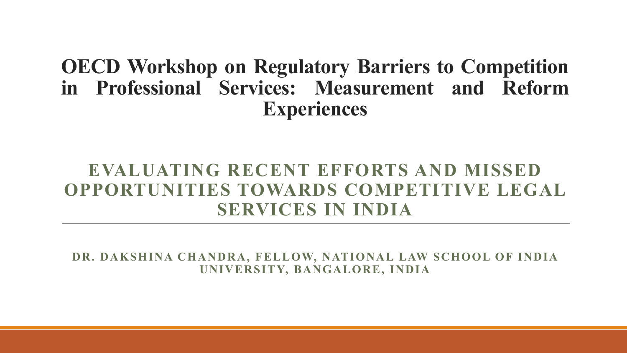**OECD Workshop on Regulatory Barriers to Competition in Professional Services: Measurement and Reform Experiences**

#### **EVALUATING RECENT EFFORTS AND MISSED OPPORTUNITIES TOWARDS COMPETITIVE LEGAL SERVICES IN INDIA**

**DR. DAKSHINA CHANDRA, FELLOW, NATIONAL LAW SCHOOL OF INDIA UNIVERSITY, BANGALORE, INDIA**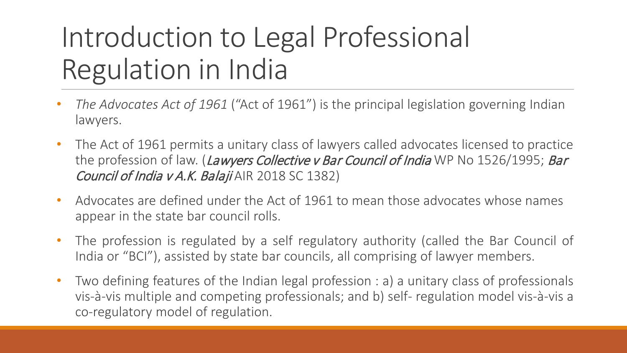# Introduction to Legal Professional Regulation in India

- *The Advocates Act of 1961* ("Act of 1961") is the principal legislation governing Indian lawyers.
- The Act of 1961 permits a unitary class of lawyers called advocates licensed to practice the profession of law. (Lawyers Collective v Bar Council of India WP No 1526/1995; Bar Council of India v A.K. Balaji AIR 2018 SC 1382)
- Advocates are defined under the Act of 1961 to mean those advocates whose names appear in the state bar council rolls.
- The profession is regulated by a self regulatory authority (called the Bar Council of India or "BCI"), assisted by state bar councils, all comprising of lawyer members.
- Two defining features of the Indian legal profession : a) a unitary class of professionals vis-à-vis multiple and competing professionals; and b) self- regulation model vis-à-vis a co-regulatory model of regulation.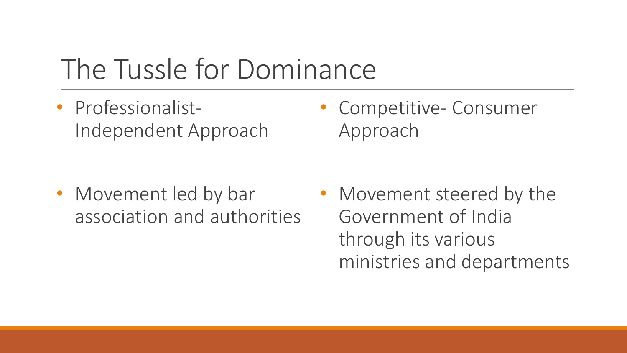### The Tussle for Dominance

• Professionalist-Independent Approach

• Movement led by bar association and authorities • Competitive- Consumer Approach

• Movement steered by the Government of India through its various ministries and departments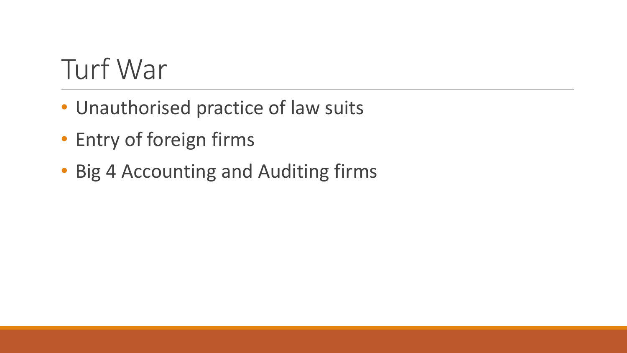# Turf War

- Unauthorised practice of law suits
- Entry of foreign firms
- Big 4 Accounting and Auditing firms